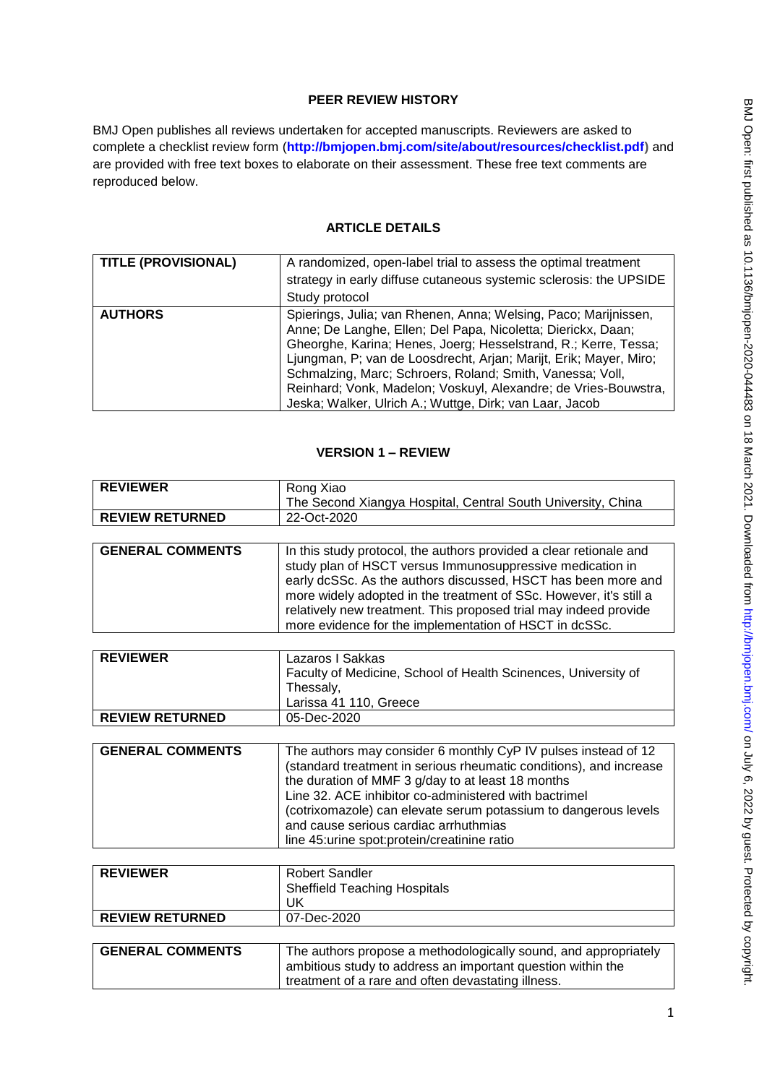# **PEER REVIEW HISTORY**

BMJ Open publishes all reviews undertaken for accepted manuscripts. Reviewers are asked to complete a checklist review form (**[http://bmjopen.bmj.com/site/about/resources/checklist.pdf\)](http://bmjopen.bmj.com/site/about/resources/checklist.pdf)** and are provided with free text boxes to elaborate on their assessment. These free text comments are reproduced below.

# **ARTICLE DETAILS**

| <b>TITLE (PROVISIONAL)</b> | A randomized, open-label trial to assess the optimal treatment<br>strategy in early diffuse cutaneous systemic sclerosis: the UPSIDE<br>Study protocol                                                                                                                                                                                                                                                                                                             |
|----------------------------|--------------------------------------------------------------------------------------------------------------------------------------------------------------------------------------------------------------------------------------------------------------------------------------------------------------------------------------------------------------------------------------------------------------------------------------------------------------------|
| <b>AUTHORS</b>             | Spierings, Julia; van Rhenen, Anna; Welsing, Paco; Marijnissen,<br>Anne; De Langhe, Ellen; Del Papa, Nicoletta; Dierickx, Daan;<br>Gheorghe, Karina; Henes, Joerg; Hesselstrand, R.; Kerre, Tessa;<br>Ljungman, P; van de Loosdrecht, Arjan; Marijt, Erik; Mayer, Miro;<br>Schmalzing, Marc; Schroers, Roland; Smith, Vanessa; Voll,<br>Reinhard; Vonk, Madelon; Voskuyl, Alexandre; de Vries-Bouwstra,<br>Jeska; Walker, Ulrich A.; Wuttge, Dirk; van Laar, Jacob |

#### **VERSION 1 – REVIEW**

| <b>REVIEWER</b>         | Rong Xiao                                                                                                                                                                                                                                                                                                                                                                                                       |
|-------------------------|-----------------------------------------------------------------------------------------------------------------------------------------------------------------------------------------------------------------------------------------------------------------------------------------------------------------------------------------------------------------------------------------------------------------|
|                         | The Second Xiangya Hospital, Central South University, China                                                                                                                                                                                                                                                                                                                                                    |
| <b>REVIEW RETURNED</b>  | 22-Oct-2020                                                                                                                                                                                                                                                                                                                                                                                                     |
|                         |                                                                                                                                                                                                                                                                                                                                                                                                                 |
| <b>GENERAL COMMENTS</b> | In this study protocol, the authors provided a clear retionale and<br>study plan of HSCT versus Immunosuppressive medication in<br>early dcSSc. As the authors discussed, HSCT has been more and<br>more widely adopted in the treatment of SSc. However, it's still a<br>relatively new treatment. This proposed trial may indeed provide<br>more evidence for the implementation of HSCT in dcSSc.            |
|                         |                                                                                                                                                                                                                                                                                                                                                                                                                 |
| <b>REVIEWER</b>         | Lazaros I Sakkas<br>Faculty of Medicine, School of Health Scinences, University of<br>Thessaly,<br>Larissa 41 110, Greece                                                                                                                                                                                                                                                                                       |
| <b>REVIEW RETURNED</b>  | 05-Dec-2020                                                                                                                                                                                                                                                                                                                                                                                                     |
|                         |                                                                                                                                                                                                                                                                                                                                                                                                                 |
| <b>GENERAL COMMENTS</b> | The authors may consider 6 monthly CyP IV pulses instead of 12<br>(standard treatment in serious rheumatic conditions), and increase<br>the duration of MMF 3 g/day to at least 18 months<br>Line 32. ACE inhibitor co-administered with bactrimel<br>(cotrixomazole) can elevate serum potassium to dangerous levels<br>and cause serious cardiac arrhuthmias<br>line 45: urine spot: protein/creatinine ratio |
|                         |                                                                                                                                                                                                                                                                                                                                                                                                                 |
| <b>REVIEWER</b>         | <b>Robert Sandler</b><br><b>Sheffield Teaching Hospitals</b><br>UK                                                                                                                                                                                                                                                                                                                                              |
| <b>REVIEW RETURNED</b>  | 07-Dec-2020                                                                                                                                                                                                                                                                                                                                                                                                     |

| <b>GENERAL COMMENTS</b> | The authors propose a methodologically sound, and appropriately |
|-------------------------|-----------------------------------------------------------------|
|                         | ambitious study to address an important question within the     |
|                         | treatment of a rare and often devastating illness.              |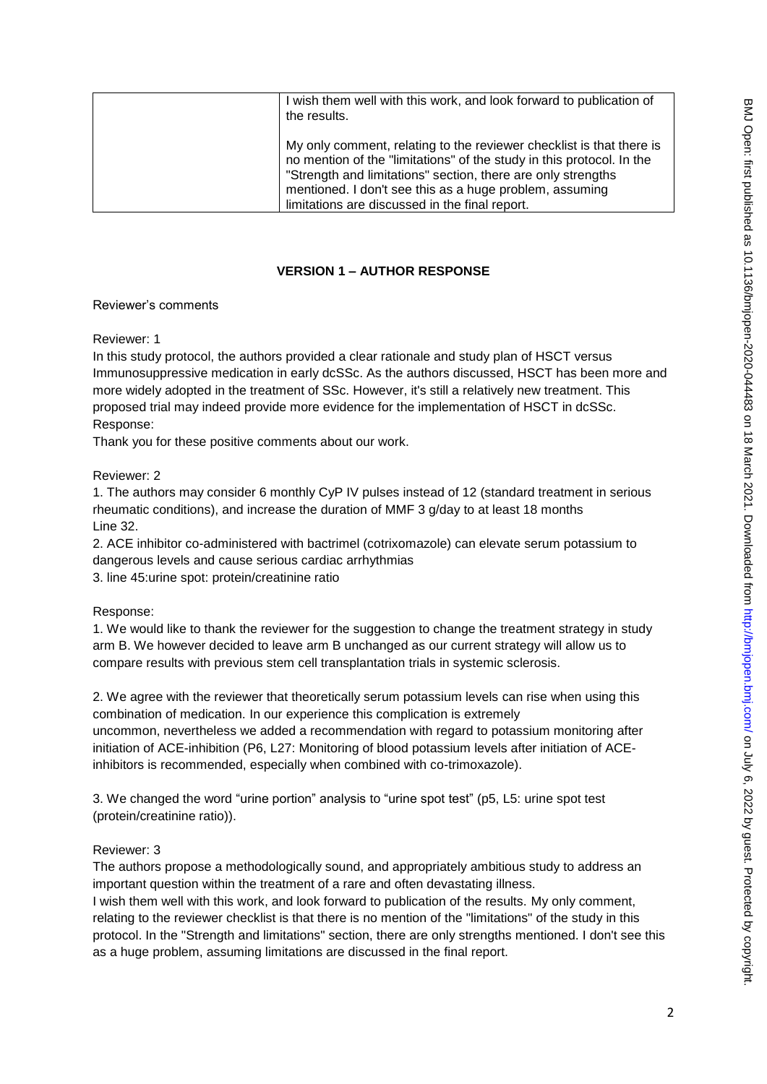| I wish them well with this work, and look forward to publication of<br>the results.                                                                                                                                                                                                                                        |
|----------------------------------------------------------------------------------------------------------------------------------------------------------------------------------------------------------------------------------------------------------------------------------------------------------------------------|
| My only comment, relating to the reviewer checklist is that there is<br>no mention of the "limitations" of the study in this protocol. In the<br>"Strength and limitations" section, there are only strengths<br>mentioned. I don't see this as a huge problem, assuming<br>limitations are discussed in the final report. |

# **VERSION 1 – AUTHOR RESPONSE**

#### Reviewer's comments

Reviewer: 1

In this study protocol, the authors provided a clear rationale and study plan of HSCT versus Immunosuppressive medication in early dcSSc. As the authors discussed, HSCT has been more and more widely adopted in the treatment of SSc. However, it's still a relatively new treatment. This proposed trial may indeed provide more evidence for the implementation of HSCT in dcSSc. Response:

Thank you for these positive comments about our work.

## Reviewer: 2

1. The authors may consider 6 monthly CyP IV pulses instead of 12 (standard treatment in serious rheumatic conditions), and increase the duration of MMF 3 g/day to at least 18 months Line 32.

2. ACE inhibitor co-administered with bactrimel (cotrixomazole) can elevate serum potassium to dangerous levels and cause serious cardiac arrhythmias

3. line 45:urine spot: protein/creatinine ratio

#### Response:

1. We would like to thank the reviewer for the suggestion to change the treatment strategy in study arm B. We however decided to leave arm B unchanged as our current strategy will allow us to compare results with previous stem cell transplantation trials in systemic sclerosis.

2. We agree with the reviewer that theoretically serum potassium levels can rise when using this combination of medication. In our experience this complication is extremely

uncommon, nevertheless we added a recommendation with regard to potassium monitoring after initiation of ACE-inhibition (P6, L27: Monitoring of blood potassium levels after initiation of ACEinhibitors is recommended, especially when combined with co-trimoxazole).

3. We changed the word "urine portion" analysis to "urine spot test" (p5, L5: urine spot test (protein/creatinine ratio)).

#### Reviewer: 3

The authors propose a methodologically sound, and appropriately ambitious study to address an important question within the treatment of a rare and often devastating illness.

I wish them well with this work, and look forward to publication of the results. My only comment, relating to the reviewer checklist is that there is no mention of the "limitations" of the study in this protocol. In the "Strength and limitations" section, there are only strengths mentioned. I don't see this as a huge problem, assuming limitations are discussed in the final report.